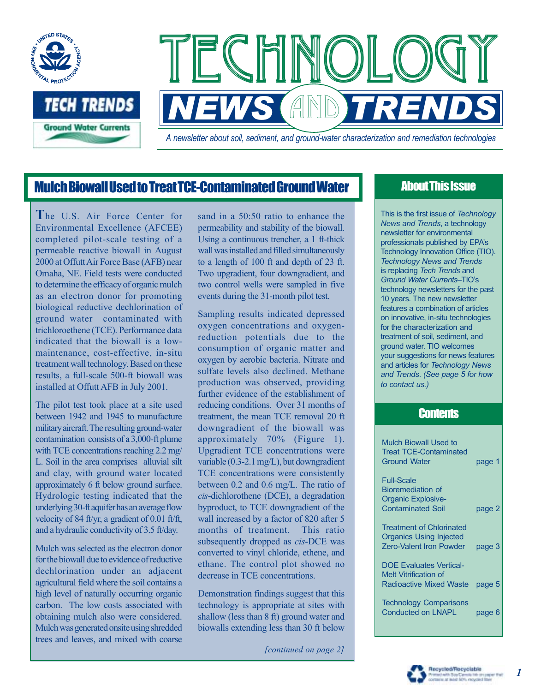

## Mulch Biowall Used to Treat TCE-Contaminated Ground Water

**T**he U.S. Air Force Center for Environmental Excellence (AFCEE) completed pilot-scale testing of a permeable reactive biowall in August 2000 at Offutt Air Force Base (AFB) near Omaha, NE. Field tests were conducted to determine the efficacy of organic mulch as an electron donor for promoting biological reductive dechlorination of ground water contaminated with trichloroethene (TCE). Performance data indicated that the biowall is a lowmaintenance, cost-effective, in-situ treatment wall technology. Based on these results, a full-scale 500-ft biowall was installed at Offutt AFB in July 2001.

The pilot test took place at a site used between 1942 and 1945 to manufacture military aircraft. The resulting ground-water contamination consists of a 3,000-ft plume with TCE concentrations reaching 2.2 mg/ L. Soil in the area comprises alluvial silt and clay, with ground water located approximately 6 ft below ground surface. Hydrologic testing indicated that the underlying 30-ft aquifer has an average flow velocity of 84 ft/yr, a gradient of 0.01 ft/ft, and a hydraulic conductivity of 3.5 ft/day.

Mulch was selected as the electron donor for the biowall due to evidence of reductive dechlorination under an adjacent agricultural field where the soil contains a high level of naturally occurring organic carbon. The low costs associated with obtaining mulch also were considered. Mulch was generated onsite using shredded trees and leaves, and mixed with coarse sand in a 50:50 ratio to enhance the permeability and stability of the biowall. Using a continuous trencher, a 1 ft-thick wall was installed and filled simultaneously to a length of 100 ft and depth of 23 ft. Two upgradient, four downgradient, and two control wells were sampled in five events during the 31-month pilot test.

Sampling results indicated depressed oxygen concentrations and oxygenreduction potentials due to the consumption of organic matter and oxygen by aerobic bacteria. Nitrate and sulfate levels also declined. Methane production was observed, providing further evidence of the establishment of reducing conditions. Over 31 months of treatment, the mean TCE removal 20 ft downgradient of the biowall was approximately 70% (Figure 1). Upgradient TCE concentrations were variable (0.3-2.1 mg/L), but downgradient TCE concentrations were consistently between 0.2 and 0.6 mg/L. The ratio of *cis*-dichlorothene (DCE), a degradation byproduct, to TCE downgradient of the wall increased by a factor of 820 after 5 months of treatment. This ratio subsequently dropped as *cis*-DCE was converted to vinyl chloride, ethene, and ethane. The control plot showed no decrease in TCE concentrations.

Demonstration findings suggest that this technology is appropriate at sites with shallow (less than 8 ft) ground water and biowalls extending less than 30 ft below

*[continued on page 2]*

## About This Issue

This is the first issue of *Technology News and Trends*, a technology newsletter for environmental professionals published by EPAís Technology Innovation Office (TIO). *Technology News and Trends* is replacing *Tech Trends* and *Ground Water Currents-TIO's* technology newsletters for the past 10 years. The new newsletter features a combination of articles on innovative, in-situ technologies for the characterization and treatment of soil, sediment, and ground water. TIO welcomes your suggestions for news features and articles for *Technology News and Trends*. *(See page 5 for how to contact us.)*

### **Contents**

| <b>Mulch Biowall Used to</b><br><b>Treat TCE-Contaminated</b><br><b>Ground Water</b>                | page 1 |
|-----------------------------------------------------------------------------------------------------|--------|
| <b>Full-Scale</b>                                                                                   |        |
| <b>Bioremediation of</b>                                                                            |        |
| <b>Organic Explosive-</b>                                                                           |        |
| <b>Contaminated Soil</b>                                                                            | page 2 |
| <b>Treatment of Chlorinated</b><br><b>Organics Using Injected</b><br><b>Zero-Valent Iron Powder</b> | page 3 |
| <b>DOE Evaluates Vertical-</b>                                                                      |        |
| <b>Melt Vitrification of</b>                                                                        |        |
| <b>Radioactive Mixed Waste</b>                                                                      | page 5 |
| <b>Technology Comparisons</b><br><b>Conducted on LNAPL</b>                                          | page 6 |

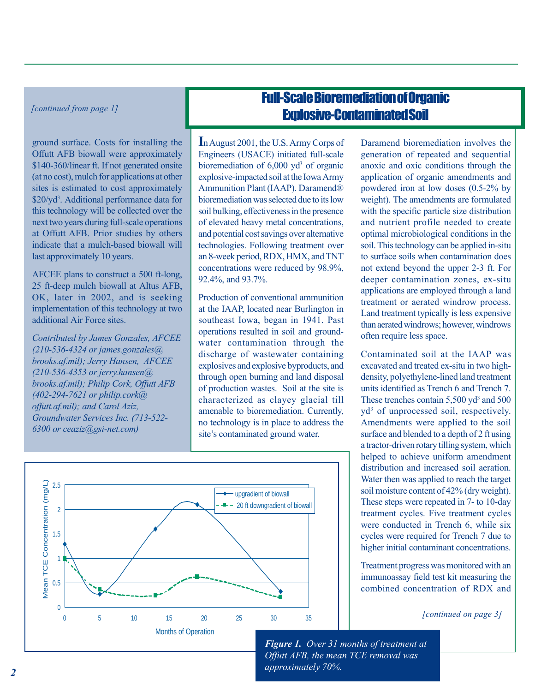*[continued from page 1]*

ground surface. Costs for installing the Offutt AFB biowall were approximately \$140-360/linear ft. If not generated onsite (at no cost), mulch for applications at other sites is estimated to cost approximately \$20/yd<sup>3</sup>. Additional performance data for this technology will be collected over the next two years during full-scale operations at Offutt AFB. Prior studies by others indicate that a mulch-based biowall will last approximately 10 years.

AFCEE plans to construct a 500 ft-long, 25 ft-deep mulch biowall at Altus AFB, OK, later in 2002, and is seeking implementation of this technology at two additional Air Force sites.

*Contributed by James Gonzales, AFCEE (210-536-4324 or james.gonzales@ brooks.af.mil); Jerry Hansen, AFCEE (210-536-4353 or jerry.hansen@ brooks.af.mil); Philip Cork, Offutt AFB (402-294-7621 or philip.cork@ offutt.af.mil); and Carol Aziz, Groundwater Services Inc. (713-522- 6300 or ceaziz@gsi-net.com)*

# Full-Scale Bioremediation of Organic Explosive-Contaminated Soil

**I**n August 2001, the U.S. Army Corps of Engineers (USACE) initiated full-scale bioremediation of 6,000 yd<sup>3</sup> of organic explosive-impacted soil at the Iowa Army Ammunition Plant (IAAP). Daramend® bioremediation was selected due to its low soil bulking, effectiveness in the presence of elevated heavy metal concentrations, and potential cost savings over alternative technologies. Following treatment over an 8-week period, RDX, HMX, and TNT concentrations were reduced by 98.9%, 92.4%, and 93.7%.

Production of conventional ammunition at the IAAP, located near Burlington in southeast Iowa, began in 1941. Past operations resulted in soil and groundwater contamination through the discharge of wastewater containing explosives and explosive byproducts, and through open burning and land disposal of production wastes. Soil at the site is characterized as clayey glacial till amenable to bioremediation. Currently, no technology is in place to address the site's contaminated ground water.

Daramend bioremediation involves the generation of repeated and sequential anoxic and oxic conditions through the application of organic amendments and powdered iron at low doses (0.5-2% by weight). The amendments are formulated with the specific particle size distribution and nutrient profile needed to create optimal microbiological conditions in the soil. This technology can be applied in-situ to surface soils when contamination does not extend beyond the upper 2-3 ft. For deeper contamination zones, ex-situ applications are employed through a land treatment or aerated windrow process. Land treatment typically is less expensive than aerated windrows; however, windrows often require less space.

Contaminated soil at the IAAP was excavated and treated ex-situ in two highdensity, polyethylene-lined land treatment units identified as Trench 6 and Trench 7. These trenches contain 5,500 yd<sup>3</sup> and 500 yd3 of unprocessed soil, respectively. Amendments were applied to the soil surface and blended to a depth of 2 ft using a tractor-driven rotary tilling system, which helped to achieve uniform amendment distribution and increased soil aeration. Water then was applied to reach the target soil moisture content of 42% (dry weight). These steps were repeated in 7- to 10-day treatment cycles. Five treatment cycles were conducted in Trench 6, while six cycles were required for Trench 7 due to higher initial contaminant concentrations.

Treatment progress was monitored with an immunoassay field test kit measuring the combined concentration of RDX and

*[continued on page 3]*



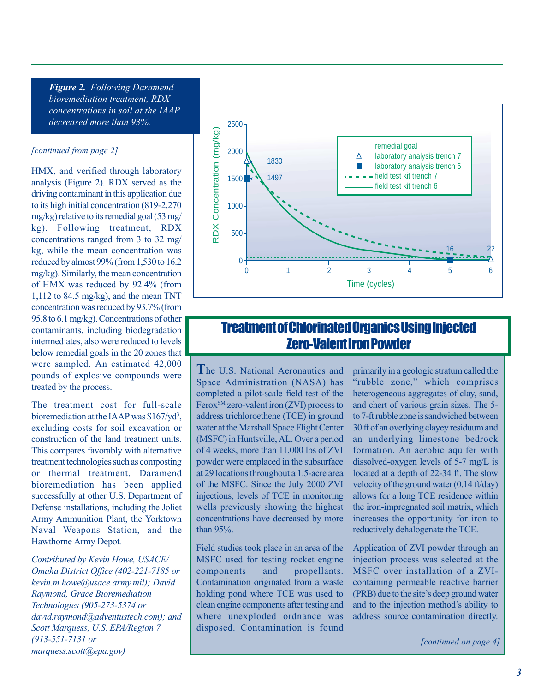*Figure 2. Following Daramend bioremediation treatment, RDX concentrations in soil at the IAAP decreased more than 93%.*

#### *[continued from page 2]*

HMX, and verified through laboratory analysis (Figure 2). RDX served as the driving contaminant in this application due to its high initial concentration (819-2,270 mg/kg) relative to its remedial goal (53 mg/ kg). Following treatment, RDX concentrations ranged from 3 to 32 mg/ kg, while the mean concentration was reduced by almost 99% (from 1,530 to 16.2 mg/kg). Similarly, the mean concentration of HMX was reduced by 92.4% (from 1,112 to 84.5 mg/kg), and the mean TNT concentration was reduced by 93.7% (from 95.8 to 6.1 mg/kg). Concentrations of other contaminants, including biodegradation intermediates, also were reduced to levels below remedial goals in the 20 zones that were sampled. An estimated 42,000 pounds of explosive compounds were treated by the process.

The treatment cost for full-scale bioremediation at the IAAP was  $$167/yd<sup>3</sup>$ , excluding costs for soil excavation or construction of the land treatment units. This compares favorably with alternative treatment technologies such as composting or thermal treatment. Daramend bioremediation has been applied successfully at other U.S. Department of Defense installations, including the Joliet Army Ammunition Plant, the Yorktown Naval Weapons Station, and the Hawthorne Army Depot*.*

*Contributed by Kevin Howe, USACE/ Omaha District Office (402-221-7185 or kevin.m.howe@usace.army.mil); David Raymond, Grace Bioremediation Technologies (905-273-5374 or david.raymond@adventustech.com); and Scott Marquess, U.S. EPA/Region 7 (913-551-7131 or marquess.scott@epa.gov)*



## Treatment of Chlorinated Organics Using Injected Zero-Valent Iron Powder

**T**he U.S. National Aeronautics and Space Administration (NASA) has completed a pilot-scale field test of the  $Ferox<sup>SM</sup> zero-valent iron (ZVI) process to$ address trichloroethene (TCE) in ground water at the Marshall Space Flight Center (MSFC) in Huntsville, AL. Over a period of 4 weeks, more than 11,000 lbs of ZVI powder were emplaced in the subsurface at 29 locations throughout a 1.5-acre area of the MSFC. Since the July 2000 ZVI injections, levels of TCE in monitoring wells previously showing the highest concentrations have decreased by more than 95%.

Field studies took place in an area of the MSFC used for testing rocket engine components and propellants. Contamination originated from a waste holding pond where TCE was used to clean engine components after testing and where unexploded ordnance was disposed. Contamination is found

primarily in a geologic stratum called the "rubble zone," which comprises heterogeneous aggregates of clay, sand, and chert of various grain sizes. The 5 to 7-ft rubble zone is sandwiched between 30 ft of an overlying clayey residuum and an underlying limestone bedrock formation. An aerobic aquifer with dissolved-oxygen levels of 5-7 mg/L is located at a depth of 22-34 ft. The slow velocity of the ground water (0.14 ft/day) allows for a long TCE residence within the iron-impregnated soil matrix, which increases the opportunity for iron to reductively dehalogenate the TCE.

Application of ZVI powder through an injection process was selected at the MSFC over installation of a ZVIcontaining permeable reactive barrier (PRB) due to the site's deep ground water and to the injection method's ability to address source contamination directly.

*[continued on page 4]*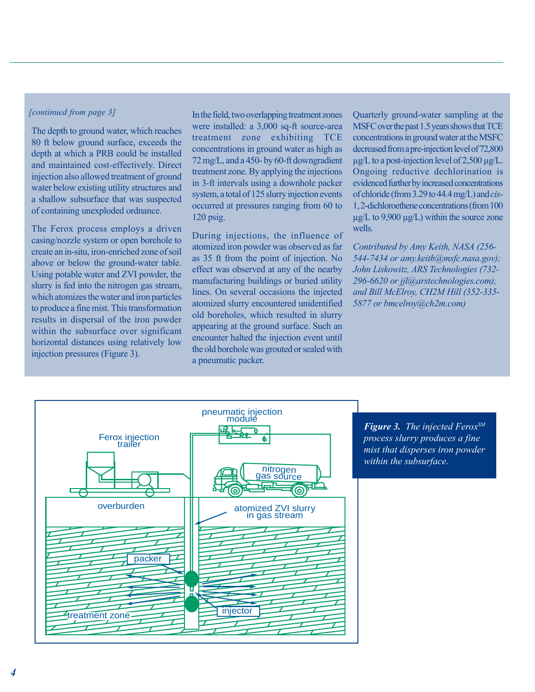#### *[continued from page 3]*

The depth to ground water, which reaches 80 ft below ground surface, exceeds the depth at which a PRB could be installed and maintained cost-effectively. Direct injection also allowed treatment of ground water below existing utility structures and a shallow subsurface that was suspected of containing unexploded ordnance.

The Ferox process employs a driven casing/nozzle system or open borehole to create an in-situ, iron-enriched zone of soil above or below the ground-water table. Using potable water and ZVI powder, the slurry is fed into the nitrogen gas stream, which atomizes the water and iron particles to produce a fine mist. This transformation results in dispersal of the iron powder within the subsurface over significant horizontal distances using relatively low injection pressures (Figure 3).

In the field, two overlapping treatment zones were installed: a 3,000 sq-ft source-area treatment zone exhibiting TCE concentrations in ground water as high as 72 mg/L, and a 450- by 60-ft downgradient treatment zone. By applying the injections in 3-ft intervals using a downhole packer system, a total of 125 slurry injection events occurred at pressures ranging from 60 to 120 psig.

During injections, the influence of atomized iron powder was observed as far as 35 ft from the point of injection. No effect was observed at any of the nearby manufacturing buildings or buried utility lines. On several occasions the injected atomized slurry encountered unidentified old boreholes, which resulted in slurry appearing at the ground surface. Such an encounter halted the injection event until the old borehole was grouted or sealed with a pneumatic packer.

Quarterly ground-water sampling at the MSFC over the past 1.5 years shows that TCE concentrations in ground water at the MSFC decreased from a pre-injection level of 72,800 µg/L to a post-injection level of 2,500 µg/L. Ongoing reductive dechlorination is evidenced further by increased concentrations of chloride (from 3.29 to 44.4 mg/L) and *cis*-1, 2-dichloroethene concentrations (from 100  $\mu$ g/L to 9,900  $\mu$ g/L) within the source zone wells.

*Contributed by Amy Keith, NASA (256- 544-7434 or amy.keith@msfc.nasa.gov); John Liskowitz, ARS Technologies (732- 296-6620 or jjl@arstechnologies.com); and Bill McElroy, CH2M Hill (352-335- 5877 or bmcelroy@ch2m.com)*



*Figure 3. The injected FeroxSM process slurry produces a fine mist that disperses iron powder within the subsurface.*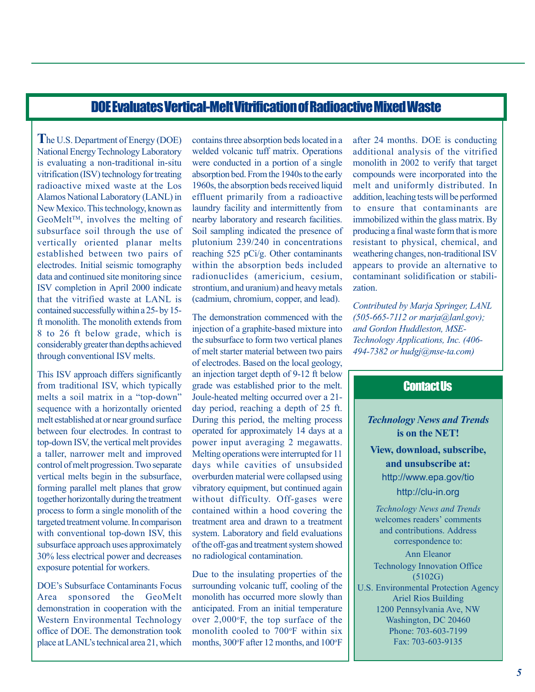### DOE Evaluates Vertical-Melt Vitrification of Radioactive Mixed Waste

**T**he U.S. Department of Energy (DOE) National Energy Technology Laboratory is evaluating a non-traditional in-situ vitrification (ISV) technology for treating radioactive mixed waste at the Los Alamos National Laboratory (LANL) in New Mexico. This technology, known as  $Geomelt^{TM}$ , involves the melting of subsurface soil through the use of vertically oriented planar melts established between two pairs of electrodes. Initial seismic tomography data and continued site monitoring since ISV completion in April 2000 indicate that the vitrified waste at LANL is contained successfully within a 25- by 15 ft monolith. The monolith extends from 8 to 26 ft below grade, which is considerably greater than depths achieved through conventional ISV melts.

This ISV approach differs significantly from traditional ISV, which typically melts a soil matrix in a "top-down" sequence with a horizontally oriented melt established at or near ground surface between four electrodes. In contrast to top-down ISV, the vertical melt provides a taller, narrower melt and improved control of melt progression. Two separate vertical melts begin in the subsurface, forming parallel melt planes that grow together horizontally during the treatment process to form a single monolith of the targeted treatment volume. In comparison with conventional top-down ISV, this subsurface approach uses approximately 30% less electrical power and decreases exposure potential for workers.

DOEís Subsurface Contaminants Focus Area sponsored the GeoMelt demonstration in cooperation with the Western Environmental Technology office of DOE. The demonstration took place at LANL's technical area 21, which

contains three absorption beds located in a welded volcanic tuff matrix. Operations were conducted in a portion of a single absorption bed. From the 1940s to the early 1960s, the absorption beds received liquid effluent primarily from a radioactive laundry facility and intermittently from nearby laboratory and research facilities. Soil sampling indicated the presence of plutonium 239/240 in concentrations reaching 525 pCi/g. Other contaminants within the absorption beds included radionuclides (americium, cesium, strontium, and uranium) and heavy metals (cadmium, chromium, copper, and lead).

The demonstration commenced with the injection of a graphite-based mixture into the subsurface to form two vertical planes of melt starter material between two pairs of electrodes. Based on the local geology, an injection target depth of 9-12 ft below grade was established prior to the melt. Joule-heated melting occurred over a 21 day period, reaching a depth of 25 ft. During this period, the melting process operated for approximately 14 days at a power input averaging 2 megawatts. Melting operations were interrupted for 11 days while cavities of unsubsided overburden material were collapsed using vibratory equipment, but continued again without difficulty. Off-gases were contained within a hood covering the treatment area and drawn to a treatment system. Laboratory and field evaluations of the off-gas and treatment system showed no radiological contamination.

Due to the insulating properties of the surrounding volcanic tuff, cooling of the monolith has occurred more slowly than anticipated. From an initial temperature over  $2,000\text{°F}$ , the top surface of the monolith cooled to 700°F within six months, 300°F after 12 months, and 100°F

after 24 months. DOE is conducting additional analysis of the vitrified monolith in 2002 to verify that target compounds were incorporated into the melt and uniformly distributed. In addition, leaching tests will be performed to ensure that contaminants are immobilized within the glass matrix. By producing a final waste form that is more resistant to physical, chemical, and weathering changes, non-traditional ISV appears to provide an alternative to contaminant solidification or stabilization.

*Contributed by Marja Springer, LANL (505-665-7112 or marja@lanl.gov); and Gordon Huddleston, MSE-Technology Applications, Inc. (406- 494-7382 or hudgj@mse-ta.com)*

## Contact Us

### *Technology News and Trends* **is on the NET!**

**View, download, subscribe, and unsubscribe at:** http://www.epa.gov/tio

http://clu-in.org

*Technology News and Trends* welcomes readers' comments and contributions. Address correspondence to: Ann Eleanor Technology Innovation Office (5102G) U.S. Environmental Protection Agency Ariel Rios Building 1200 Pennsylvania Ave, NW Washington, DC 20460 Phone: 703-603-7199 Fax: 703-603-9135